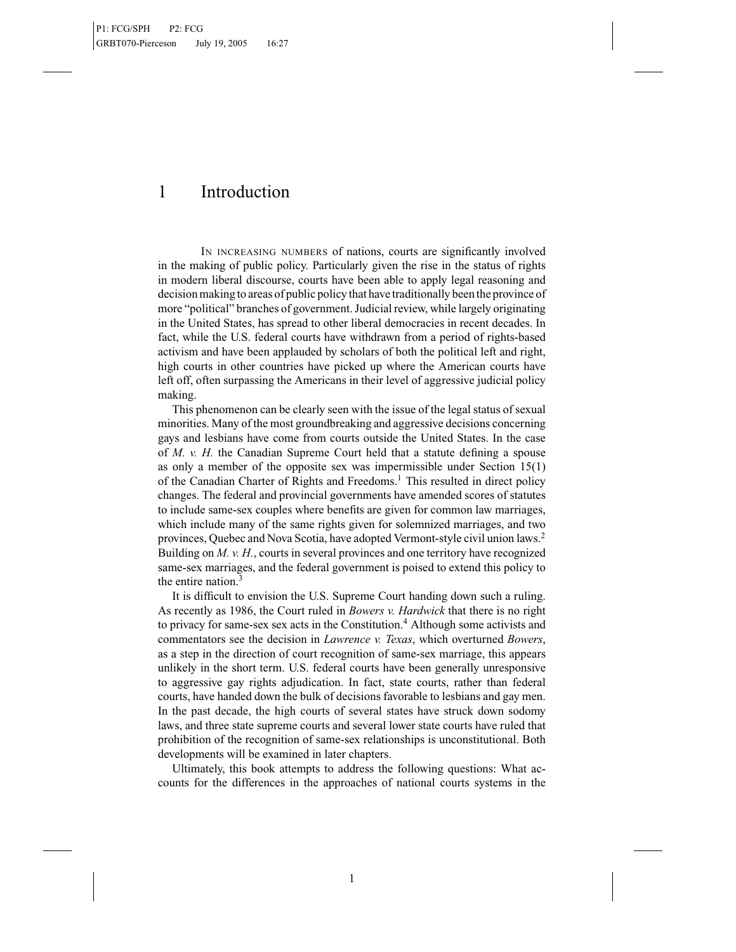# 1 Introduction

IN INCREASING NUMBERS of nations, courts are significantly involved in the making of public policy. Particularly given the rise in the status of rights in modern liberal discourse, courts have been able to apply legal reasoning and decision making to areas of public policy that have traditionally been the province of more "political" branches of government. Judicial review, while largely originating in the United States, has spread to other liberal democracies in recent decades. In fact, while the U.S. federal courts have withdrawn from a period of rights-based activism and have been applauded by scholars of both the political left and right, high courts in other countries have picked up where the American courts have left off, often surpassing the Americans in their level of aggressive judicial policy making.

This phenomenon can be clearly seen with the issue of the legal status of sexual minorities. Many of the most groundbreaking and aggressive decisions concerning gays and lesbians have come from courts outside the United States. In the case of *M. v. H.* the Canadian Supreme Court held that a statute defining a spouse as only a member of the opposite sex was impermissible under Section  $15(1)$ of the Canadian Charter of Rights and Freedoms.<sup>1</sup> This resulted in direct policy changes. The federal and provincial governments have amended scores of statutes to include same-sex couples where benefits are given for common law marriages, which include many of the same rights given for solemnized marriages, and two provinces, Quebec and Nova Scotia, have adopted Vermont-style civil union laws.<sup>2</sup> Building on *M. v. H.*, courts in several provinces and one territory have recognized same-sex marriages, and the federal government is poised to extend this policy to the entire nation.<sup>3</sup>

It is difficult to envision the U.S. Supreme Court handing down such a ruling. As recently as 1986, the Court ruled in *Bowers v. Hardwick* that there is no right to privacy for same-sex sex acts in the Constitution.<sup>4</sup> Although some activists and commentators see the decision in *Lawrence v. Texas*, which overturned *Bowers*, as a step in the direction of court recognition of same-sex marriage, this appears unlikely in the short term. U.S. federal courts have been generally unresponsive to aggressive gay rights adjudication. In fact, state courts, rather than federal courts, have handed down the bulk of decisions favorable to lesbians and gay men. In the past decade, the high courts of several states have struck down sodomy laws, and three state supreme courts and several lower state courts have ruled that prohibition of the recognition of same-sex relationships is unconstitutional. Both developments will be examined in later chapters.

Ultimately, this book attempts to address the following questions: What accounts for the differences in the approaches of national courts systems in the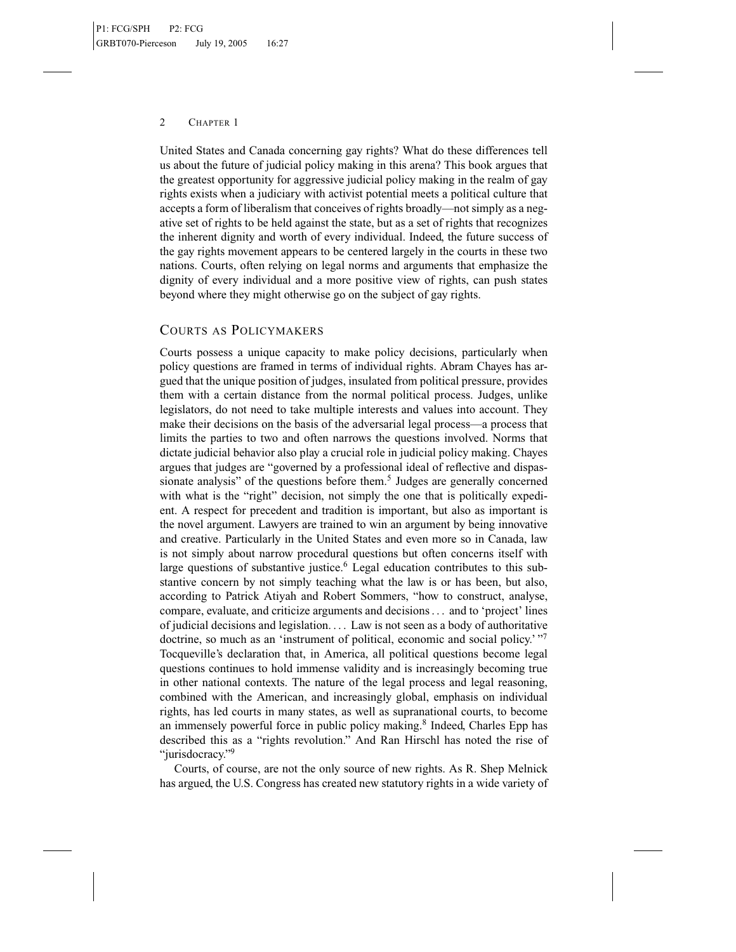#### 2 CHAPTER 1

United States and Canada concerning gay rights? What do these differences tell us about the future of judicial policy making in this arena? This book argues that the greatest opportunity for aggressive judicial policy making in the realm of gay rights exists when a judiciary with activist potential meets a political culture that accepts a form of liberalism that conceives of rights broadly—not simply as a negative set of rights to be held against the state, but as a set of rights that recognizes the inherent dignity and worth of every individual. Indeed, the future success of the gay rights movement appears to be centered largely in the courts in these two nations. Courts, often relying on legal norms and arguments that emphasize the dignity of every individual and a more positive view of rights, can push states beyond where they might otherwise go on the subject of gay rights.

### COURTS AS POLICYMAKERS

Courts possess a unique capacity to make policy decisions, particularly when policy questions are framed in terms of individual rights. Abram Chayes has argued that the unique position of judges, insulated from political pressure, provides them with a certain distance from the normal political process. Judges, unlike legislators, do not need to take multiple interests and values into account. They make their decisions on the basis of the adversarial legal process—a process that limits the parties to two and often narrows the questions involved. Norms that dictate judicial behavior also play a crucial role in judicial policy making. Chayes argues that judges are "governed by a professional ideal of reflective and dispassionate analysis" of the questions before them.<sup>5</sup> Judges are generally concerned with what is the "right" decision, not simply the one that is politically expedient. A respect for precedent and tradition is important, but also as important is the novel argument. Lawyers are trained to win an argument by being innovative and creative. Particularly in the United States and even more so in Canada, law is not simply about narrow procedural questions but often concerns itself with large questions of substantive justice.<sup>6</sup> Legal education contributes to this substantive concern by not simply teaching what the law is or has been, but also, according to Patrick Atiyah and Robert Sommers, "how to construct, analyse, compare, evaluate, and criticize arguments and decisions . . . and to 'project' lines of judicial decisions and legislation. . . . Law is not seen as a body of authoritative doctrine, so much as an 'instrument of political, economic and social policy.' "<sup>7</sup> Tocqueville's declaration that, in America, all political questions become legal questions continues to hold immense validity and is increasingly becoming true in other national contexts. The nature of the legal process and legal reasoning, combined with the American, and increasingly global, emphasis on individual rights, has led courts in many states, as well as supranational courts, to become an immensely powerful force in public policy making.<sup>8</sup> Indeed, Charles Epp has described this as a "rights revolution." And Ran Hirschl has noted the rise of "jurisdocracy."<sup>9</sup>

Courts, of course, are not the only source of new rights. As R. Shep Melnick has argued, the U.S. Congress has created new statutory rights in a wide variety of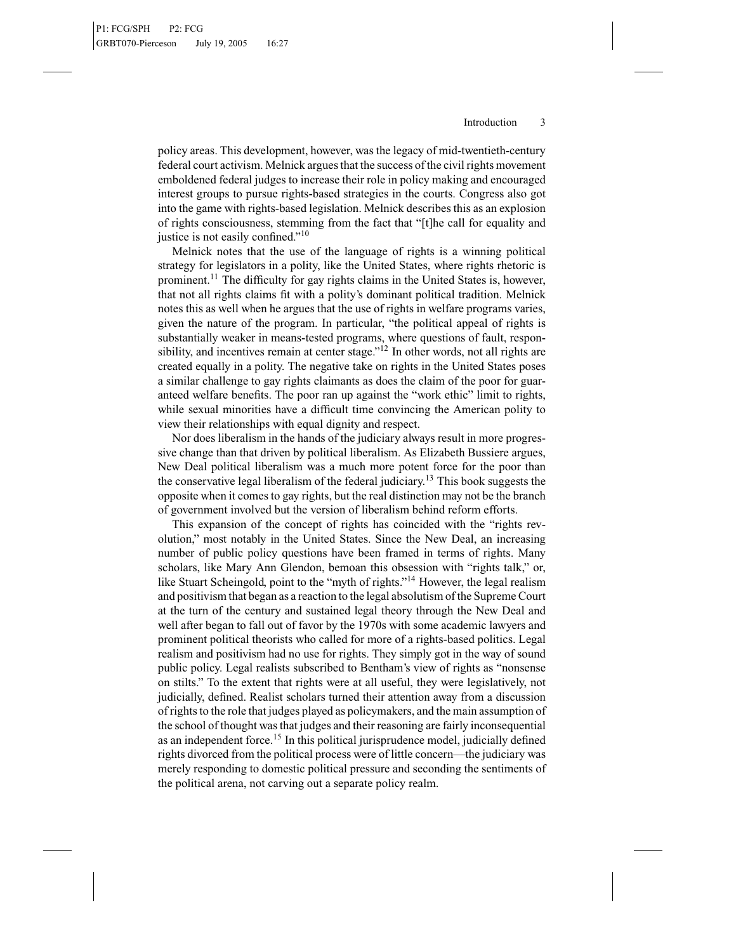policy areas. This development, however, was the legacy of mid-twentieth-century federal court activism. Melnick argues that the success of the civil rights movement emboldened federal judges to increase their role in policy making and encouraged interest groups to pursue rights-based strategies in the courts. Congress also got into the game with rights-based legislation. Melnick describes this as an explosion of rights consciousness, stemming from the fact that "[t]he call for equality and justice is not easily confined."<sup>10</sup>

Melnick notes that the use of the language of rights is a winning political strategy for legislators in a polity, like the United States, where rights rhetoric is prominent.<sup>11</sup> The difficulty for gay rights claims in the United States is, however, that not all rights claims fit with a polity's dominant political tradition. Melnick notes this as well when he argues that the use of rights in welfare programs varies, given the nature of the program. In particular, "the political appeal of rights is substantially weaker in means-tested programs, where questions of fault, responsibility, and incentives remain at center stage."<sup>12</sup> In other words, not all rights are created equally in a polity. The negative take on rights in the United States poses a similar challenge to gay rights claimants as does the claim of the poor for guaranteed welfare benefits. The poor ran up against the "work ethic" limit to rights, while sexual minorities have a difficult time convincing the American polity to view their relationships with equal dignity and respect.

Nor does liberalism in the hands of the judiciary always result in more progressive change than that driven by political liberalism. As Elizabeth Bussiere argues, New Deal political liberalism was a much more potent force for the poor than the conservative legal liberalism of the federal judiciary.<sup>13</sup> This book suggests the opposite when it comes to gay rights, but the real distinction may not be the branch of government involved but the version of liberalism behind reform efforts.

This expansion of the concept of rights has coincided with the "rights revolution," most notably in the United States. Since the New Deal, an increasing number of public policy questions have been framed in terms of rights. Many scholars, like Mary Ann Glendon, bemoan this obsession with "rights talk," or, like Stuart Scheingold, point to the "myth of rights."<sup>14</sup> However, the legal realism and positivism that began as a reaction to the legal absolutism of the Supreme Court at the turn of the century and sustained legal theory through the New Deal and well after began to fall out of favor by the 1970s with some academic lawyers and prominent political theorists who called for more of a rights-based politics. Legal realism and positivism had no use for rights. They simply got in the way of sound public policy. Legal realists subscribed to Bentham's view of rights as "nonsense on stilts." To the extent that rights were at all useful, they were legislatively, not judicially, defined. Realist scholars turned their attention away from a discussion of rights to the role that judges played as policymakers, and the main assumption of the school of thought was that judges and their reasoning are fairly inconsequential as an independent force.<sup>15</sup> In this political jurisprudence model, judicially defined rights divorced from the political process were of little concern—the judiciary was merely responding to domestic political pressure and seconding the sentiments of the political arena, not carving out a separate policy realm.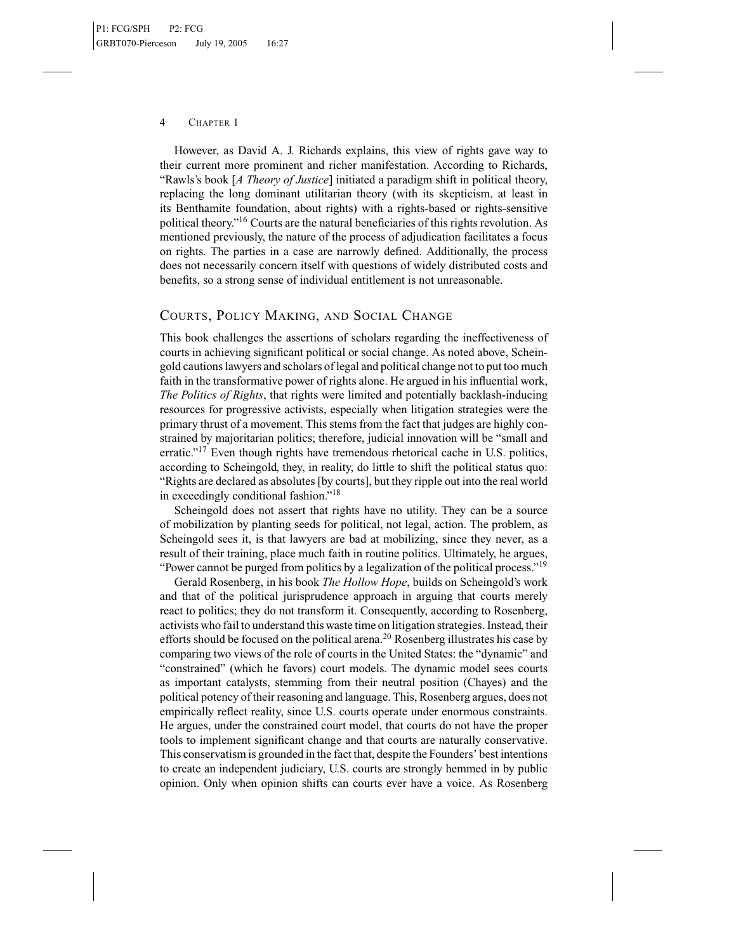#### 4 CHAPTER 1

However, as David A. J. Richards explains, this view of rights gave way to their current more prominent and richer manifestation. According to Richards, "Rawls's book [*A Theory of Justice*] initiated a paradigm shift in political theory, replacing the long dominant utilitarian theory (with its skepticism, at least in its Benthamite foundation, about rights) with a rights-based or rights-sensitive political theory."<sup>16</sup> Courts are the natural beneficiaries of this rights revolution. As mentioned previously, the nature of the process of adjudication facilitates a focus on rights. The parties in a case are narrowly defined. Additionally, the process does not necessarily concern itself with questions of widely distributed costs and benefits, so a strong sense of individual entitlement is not unreasonable.

### COURTS, POLICY MAKING, AND SOCIAL CHANGE

This book challenges the assertions of scholars regarding the ineffectiveness of courts in achieving significant political or social change. As noted above, Scheingold cautions lawyers and scholars of legal and political change not to put too much faith in the transformative power of rights alone. He argued in his influential work, *The Politics of Rights*, that rights were limited and potentially backlash-inducing resources for progressive activists, especially when litigation strategies were the primary thrust of a movement. This stems from the fact that judges are highly constrained by majoritarian politics; therefore, judicial innovation will be "small and erratic."<sup>17</sup> Even though rights have tremendous rhetorical cache in U.S. politics, according to Scheingold, they, in reality, do little to shift the political status quo: "Rights are declared as absolutes [by courts], but they ripple out into the real world in exceedingly conditional fashion."<sup>18</sup>

Scheingold does not assert that rights have no utility. They can be a source of mobilization by planting seeds for political, not legal, action. The problem, as Scheingold sees it, is that lawyers are bad at mobilizing, since they never, as a result of their training, place much faith in routine politics. Ultimately, he argues, "Power cannot be purged from politics by a legalization of the political process."<sup>19</sup>

Gerald Rosenberg, in his book *The Hollow Hope*, builds on Scheingold's work and that of the political jurisprudence approach in arguing that courts merely react to politics; they do not transform it. Consequently, according to Rosenberg, activists who fail to understand this waste time on litigation strategies. Instead, their efforts should be focused on the political arena.<sup>20</sup> Rosenberg illustrates his case by comparing two views of the role of courts in the United States: the "dynamic" and "constrained" (which he favors) court models. The dynamic model sees courts as important catalysts, stemming from their neutral position (Chayes) and the political potency of their reasoning and language. This, Rosenberg argues, does not empirically reflect reality, since U.S. courts operate under enormous constraints. He argues, under the constrained court model, that courts do not have the proper tools to implement significant change and that courts are naturally conservative. This conservatism is grounded in the fact that, despite the Founders' best intentions to create an independent judiciary, U.S. courts are strongly hemmed in by public opinion. Only when opinion shifts can courts ever have a voice. As Rosenberg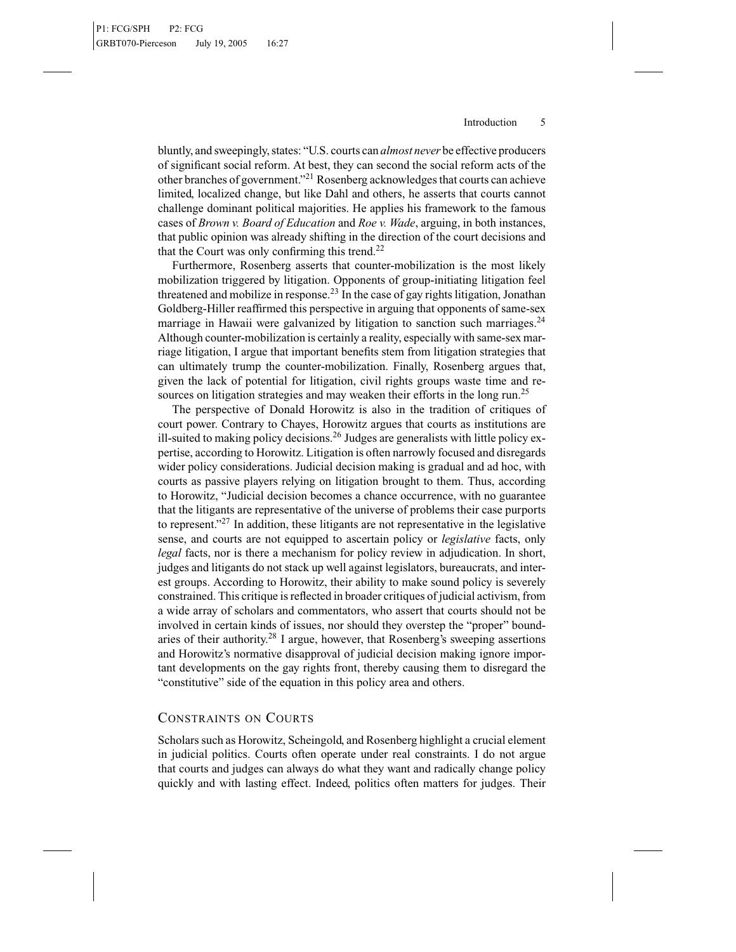bluntly, and sweepingly, states: "U.S. courts can *almost never* be effective producers of significant social reform. At best, they can second the social reform acts of the other branches of government."<sup>21</sup> Rosenberg acknowledges that courts can achieve limited, localized change, but like Dahl and others, he asserts that courts cannot challenge dominant political majorities. He applies his framework to the famous cases of *Brown v. Board of Education* and *Roe v. Wade*, arguing, in both instances, that public opinion was already shifting in the direction of the court decisions and that the Court was only confirming this trend.<sup>22</sup>

Furthermore, Rosenberg asserts that counter-mobilization is the most likely mobilization triggered by litigation. Opponents of group-initiating litigation feel threatened and mobilize in response.<sup>23</sup> In the case of gay rights litigation, Jonathan Goldberg-Hiller reaffirmed this perspective in arguing that opponents of same-sex marriage in Hawaii were galvanized by litigation to sanction such marriages.<sup>24</sup> Although counter-mobilization is certainly a reality, especially with same-sex marriage litigation, I argue that important benefits stem from litigation strategies that can ultimately trump the counter-mobilization. Finally, Rosenberg argues that, given the lack of potential for litigation, civil rights groups waste time and resources on litigation strategies and may weaken their efforts in the long run.<sup>25</sup>

The perspective of Donald Horowitz is also in the tradition of critiques of court power. Contrary to Chayes, Horowitz argues that courts as institutions are ill-suited to making policy decisions.<sup>26</sup> Judges are generalists with little policy expertise, according to Horowitz. Litigation is often narrowly focused and disregards wider policy considerations. Judicial decision making is gradual and ad hoc, with courts as passive players relying on litigation brought to them. Thus, according to Horowitz, "Judicial decision becomes a chance occurrence, with no guarantee that the litigants are representative of the universe of problems their case purports to represent."27 In addition, these litigants are not representative in the legislative sense, and courts are not equipped to ascertain policy or *legislative* facts, only *legal* facts, nor is there a mechanism for policy review in adjudication. In short, judges and litigants do not stack up well against legislators, bureaucrats, and interest groups. According to Horowitz, their ability to make sound policy is severely constrained. This critique is reflected in broader critiques of judicial activism, from a wide array of scholars and commentators, who assert that courts should not be involved in certain kinds of issues, nor should they overstep the "proper" boundaries of their authority.<sup>28</sup> I argue, however, that Rosenberg's sweeping assertions and Horowitz's normative disapproval of judicial decision making ignore important developments on the gay rights front, thereby causing them to disregard the "constitutive" side of the equation in this policy area and others.

#### CONSTRAINTS ON COURTS

Scholars such as Horowitz, Scheingold, and Rosenberg highlight a crucial element in judicial politics. Courts often operate under real constraints. I do not argue that courts and judges can always do what they want and radically change policy quickly and with lasting effect. Indeed, politics often matters for judges. Their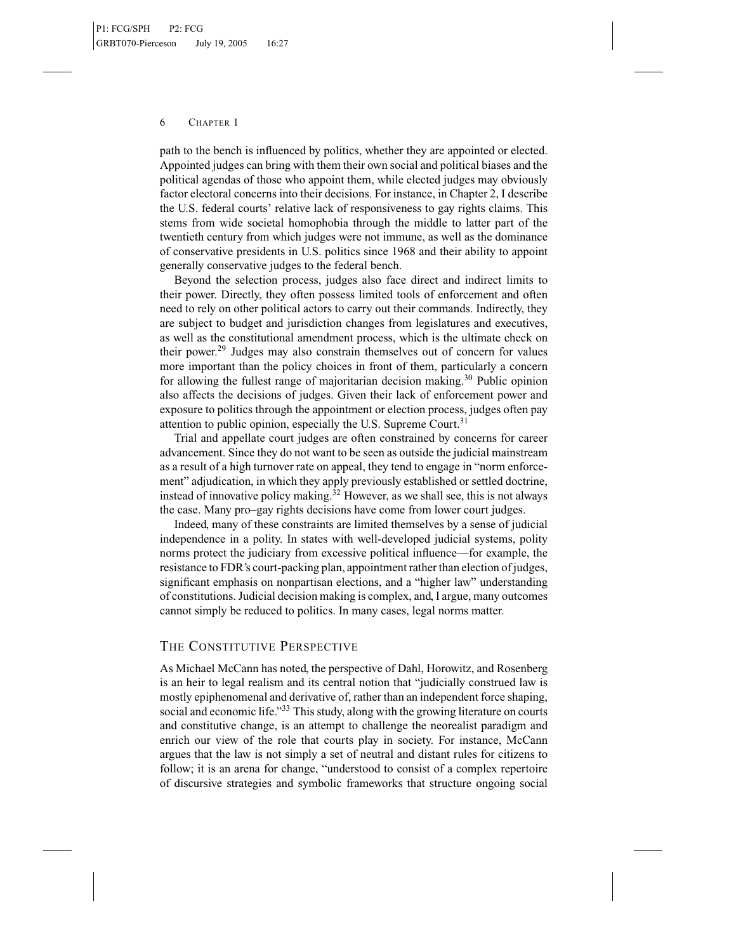path to the bench is influenced by politics, whether they are appointed or elected. Appointed judges can bring with them their own social and political biases and the political agendas of those who appoint them, while elected judges may obviously factor electoral concerns into their decisions. For instance, in Chapter 2, I describe the U.S. federal courts' relative lack of responsiveness to gay rights claims. This stems from wide societal homophobia through the middle to latter part of the twentieth century from which judges were not immune, as well as the dominance of conservative presidents in U.S. politics since 1968 and their ability to appoint generally conservative judges to the federal bench.

Beyond the selection process, judges also face direct and indirect limits to their power. Directly, they often possess limited tools of enforcement and often need to rely on other political actors to carry out their commands. Indirectly, they are subject to budget and jurisdiction changes from legislatures and executives, as well as the constitutional amendment process, which is the ultimate check on their power.<sup>29</sup> Judges may also constrain themselves out of concern for values more important than the policy choices in front of them, particularly a concern for allowing the fullest range of majoritarian decision making.<sup>30</sup> Public opinion also affects the decisions of judges. Given their lack of enforcement power and exposure to politics through the appointment or election process, judges often pay attention to public opinion, especially the U.S. Supreme Court.<sup>31</sup>

Trial and appellate court judges are often constrained by concerns for career advancement. Since they do not want to be seen as outside the judicial mainstream as a result of a high turnover rate on appeal, they tend to engage in "norm enforcement" adjudication, in which they apply previously established or settled doctrine, instead of innovative policy making.<sup>32</sup> However, as we shall see, this is not always the case. Many pro–gay rights decisions have come from lower court judges.

Indeed, many of these constraints are limited themselves by a sense of judicial independence in a polity. In states with well-developed judicial systems, polity norms protect the judiciary from excessive political influence—for example, the resistance to FDR's court-packing plan, appointment rather than election of judges, significant emphasis on nonpartisan elections, and a "higher law" understanding of constitutions. Judicial decision making is complex, and, I argue, many outcomes cannot simply be reduced to politics. In many cases, legal norms matter.

## THE CONSTITUTIVE PERSPECTIVE

As Michael McCann has noted, the perspective of Dahl, Horowitz, and Rosenberg is an heir to legal realism and its central notion that "judicially construed law is mostly epiphenomenal and derivative of, rather than an independent force shaping, social and economic life."<sup>33</sup> This study, along with the growing literature on courts and constitutive change, is an attempt to challenge the neorealist paradigm and enrich our view of the role that courts play in society. For instance, McCann argues that the law is not simply a set of neutral and distant rules for citizens to follow; it is an arena for change, "understood to consist of a complex repertoire of discursive strategies and symbolic frameworks that structure ongoing social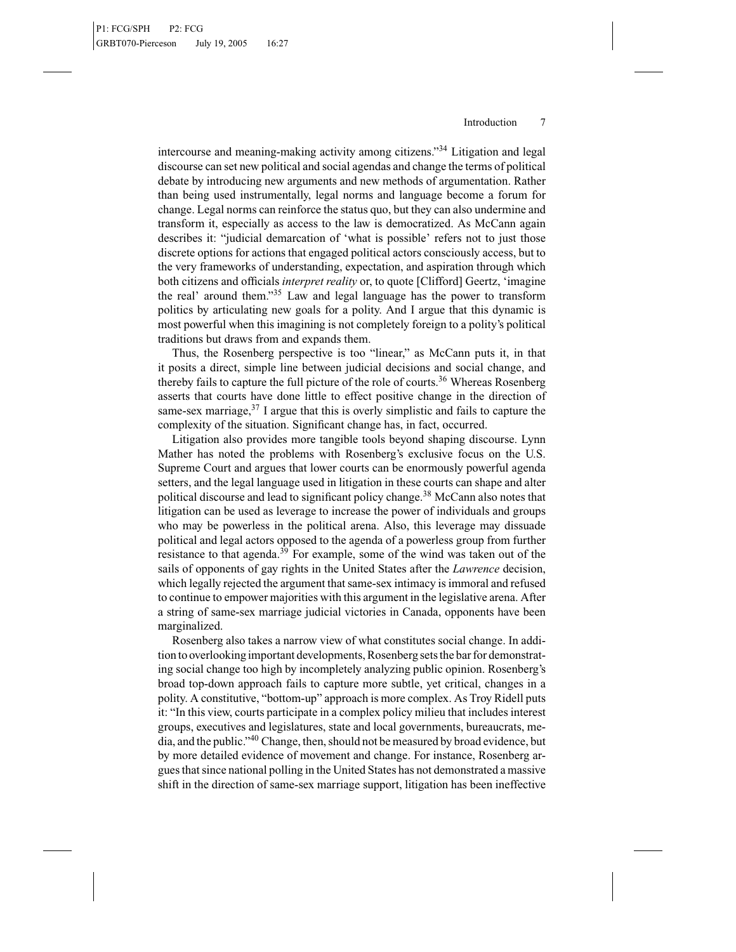intercourse and meaning-making activity among citizens."<sup>34</sup> Litigation and legal discourse can set new political and social agendas and change the terms of political debate by introducing new arguments and new methods of argumentation. Rather than being used instrumentally, legal norms and language become a forum for change. Legal norms can reinforce the status quo, but they can also undermine and transform it, especially as access to the law is democratized. As McCann again describes it: "judicial demarcation of 'what is possible' refers not to just those discrete options for actions that engaged political actors consciously access, but to the very frameworks of understanding, expectation, and aspiration through which both citizens and officials *interpret reality* or, to quote [Clifford] Geertz, 'imagine the real' around them."35 Law and legal language has the power to transform politics by articulating new goals for a polity. And I argue that this dynamic is most powerful when this imagining is not completely foreign to a polity's political traditions but draws from and expands them.

Thus, the Rosenberg perspective is too "linear," as McCann puts it, in that it posits a direct, simple line between judicial decisions and social change, and thereby fails to capture the full picture of the role of courts.<sup>36</sup> Whereas Rosenberg asserts that courts have done little to effect positive change in the direction of same-sex marriage,  $37$  I argue that this is overly simplistic and fails to capture the complexity of the situation. Significant change has, in fact, occurred.

Litigation also provides more tangible tools beyond shaping discourse. Lynn Mather has noted the problems with Rosenberg's exclusive focus on the U.S. Supreme Court and argues that lower courts can be enormously powerful agenda setters, and the legal language used in litigation in these courts can shape and alter political discourse and lead to significant policy change.<sup>38</sup> McCann also notes that litigation can be used as leverage to increase the power of individuals and groups who may be powerless in the political arena. Also, this leverage may dissuade political and legal actors opposed to the agenda of a powerless group from further resistance to that agenda.39 For example, some of the wind was taken out of the sails of opponents of gay rights in the United States after the *Lawrence* decision, which legally rejected the argument that same-sex intimacy is immoral and refused to continue to empower majorities with this argument in the legislative arena. After a string of same-sex marriage judicial victories in Canada, opponents have been marginalized.

Rosenberg also takes a narrow view of what constitutes social change. In addition to overlooking important developments, Rosenberg sets the bar for demonstrating social change too high by incompletely analyzing public opinion. Rosenberg's broad top-down approach fails to capture more subtle, yet critical, changes in a polity. A constitutive, "bottom-up" approach is more complex. As Troy Ridell puts it: "In this view, courts participate in a complex policy milieu that includes interest groups, executives and legislatures, state and local governments, bureaucrats, media, and the public."40 Change, then, should not be measured by broad evidence, but by more detailed evidence of movement and change. For instance, Rosenberg argues that since national polling in the United States has not demonstrated a massive shift in the direction of same-sex marriage support, litigation has been ineffective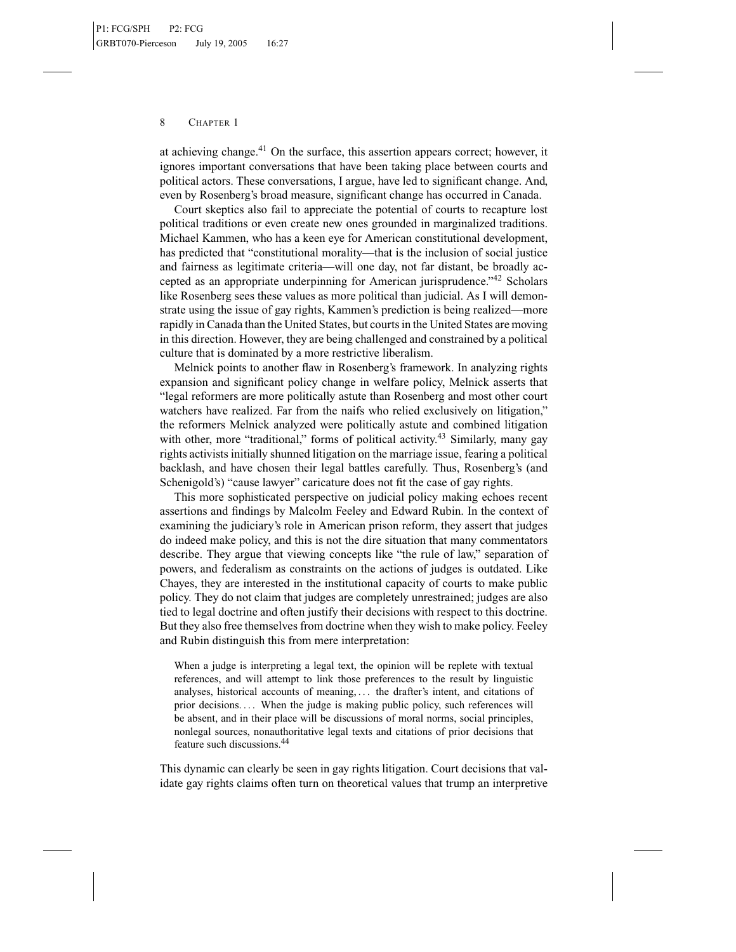at achieving change.<sup>41</sup> On the surface, this assertion appears correct; however, it ignores important conversations that have been taking place between courts and political actors. These conversations, I argue, have led to significant change. And, even by Rosenberg's broad measure, significant change has occurred in Canada.

Court skeptics also fail to appreciate the potential of courts to recapture lost political traditions or even create new ones grounded in marginalized traditions. Michael Kammen, who has a keen eye for American constitutional development, has predicted that "constitutional morality—that is the inclusion of social justice and fairness as legitimate criteria—will one day, not far distant, be broadly accepted as an appropriate underpinning for American jurisprudence."<sup>42</sup> Scholars like Rosenberg sees these values as more political than judicial. As I will demonstrate using the issue of gay rights, Kammen's prediction is being realized—more rapidly in Canada than the United States, but courts in the United States are moving in this direction. However, they are being challenged and constrained by a political culture that is dominated by a more restrictive liberalism.

Melnick points to another flaw in Rosenberg's framework. In analyzing rights expansion and significant policy change in welfare policy, Melnick asserts that "legal reformers are more politically astute than Rosenberg and most other court watchers have realized. Far from the naifs who relied exclusively on litigation," the reformers Melnick analyzed were politically astute and combined litigation with other, more "traditional," forms of political activity.<sup>43</sup> Similarly, many gay rights activists initially shunned litigation on the marriage issue, fearing a political backlash, and have chosen their legal battles carefully. Thus, Rosenberg's (and Schenigold's) "cause lawyer" caricature does not fit the case of gay rights.

This more sophisticated perspective on judicial policy making echoes recent assertions and findings by Malcolm Feeley and Edward Rubin. In the context of examining the judiciary's role in American prison reform, they assert that judges do indeed make policy, and this is not the dire situation that many commentators describe. They argue that viewing concepts like "the rule of law," separation of powers, and federalism as constraints on the actions of judges is outdated. Like Chayes, they are interested in the institutional capacity of courts to make public policy. They do not claim that judges are completely unrestrained; judges are also tied to legal doctrine and often justify their decisions with respect to this doctrine. But they also free themselves from doctrine when they wish to make policy. Feeley and Rubin distinguish this from mere interpretation:

When a judge is interpreting a legal text, the opinion will be replete with textual references, and will attempt to link those preferences to the result by linguistic analyses, historical accounts of meaning, . . . the drafter's intent, and citations of prior decisions.... When the judge is making public policy, such references will be absent, and in their place will be discussions of moral norms, social principles, nonlegal sources, nonauthoritative legal texts and citations of prior decisions that feature such discussions.44

This dynamic can clearly be seen in gay rights litigation. Court decisions that validate gay rights claims often turn on theoretical values that trump an interpretive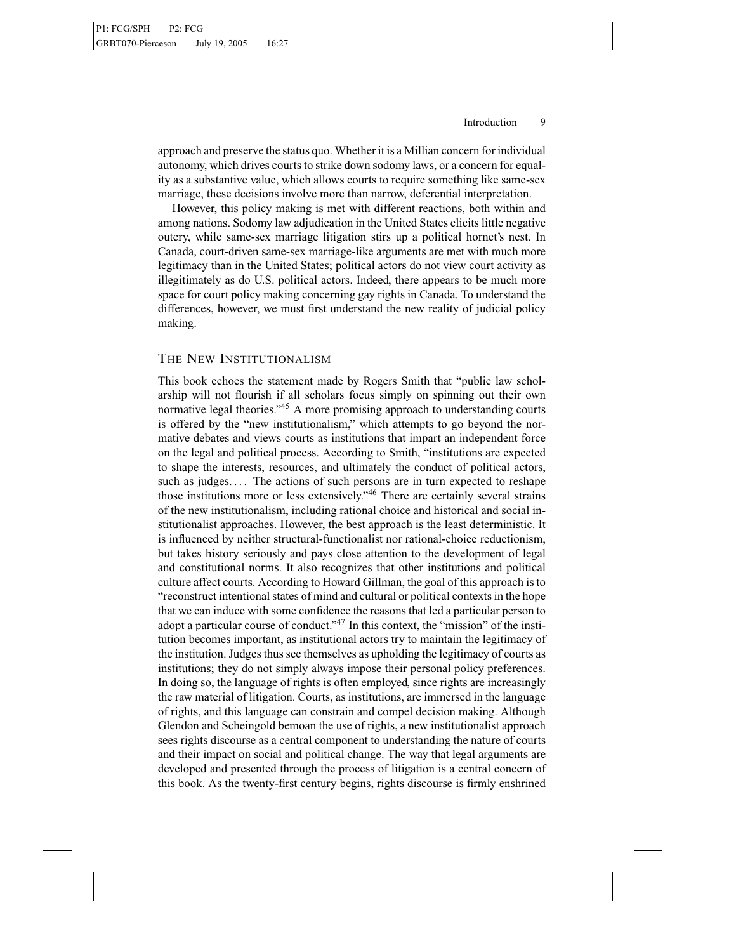approach and preserve the status quo. Whether it is a Millian concern for individual autonomy, which drives courts to strike down sodomy laws, or a concern for equality as a substantive value, which allows courts to require something like same-sex marriage, these decisions involve more than narrow, deferential interpretation.

However, this policy making is met with different reactions, both within and among nations. Sodomy law adjudication in the United States elicits little negative outcry, while same-sex marriage litigation stirs up a political hornet's nest. In Canada, court-driven same-sex marriage-like arguments are met with much more legitimacy than in the United States; political actors do not view court activity as illegitimately as do U.S. political actors. Indeed, there appears to be much more space for court policy making concerning gay rights in Canada. To understand the differences, however, we must first understand the new reality of judicial policy making.

## THE NEW INSTITUTIONALISM

This book echoes the statement made by Rogers Smith that "public law scholarship will not flourish if all scholars focus simply on spinning out their own normative legal theories."<sup>45</sup> A more promising approach to understanding courts is offered by the "new institutionalism," which attempts to go beyond the normative debates and views courts as institutions that impart an independent force on the legal and political process. According to Smith, "institutions are expected to shape the interests, resources, and ultimately the conduct of political actors, such as judges.... The actions of such persons are in turn expected to reshape those institutions more or less extensively."<sup>46</sup> There are certainly several strains of the new institutionalism, including rational choice and historical and social institutionalist approaches. However, the best approach is the least deterministic. It is influenced by neither structural-functionalist nor rational-choice reductionism, but takes history seriously and pays close attention to the development of legal and constitutional norms. It also recognizes that other institutions and political culture affect courts. According to Howard Gillman, the goal of this approach is to "reconstruct intentional states of mind and cultural or political contexts in the hope that we can induce with some confidence the reasons that led a particular person to adopt a particular course of conduct."<sup>47</sup> In this context, the "mission" of the institution becomes important, as institutional actors try to maintain the legitimacy of the institution. Judges thus see themselves as upholding the legitimacy of courts as institutions; they do not simply always impose their personal policy preferences. In doing so, the language of rights is often employed, since rights are increasingly the raw material of litigation. Courts, as institutions, are immersed in the language of rights, and this language can constrain and compel decision making. Although Glendon and Scheingold bemoan the use of rights, a new institutionalist approach sees rights discourse as a central component to understanding the nature of courts and their impact on social and political change. The way that legal arguments are developed and presented through the process of litigation is a central concern of this book. As the twenty-first century begins, rights discourse is firmly enshrined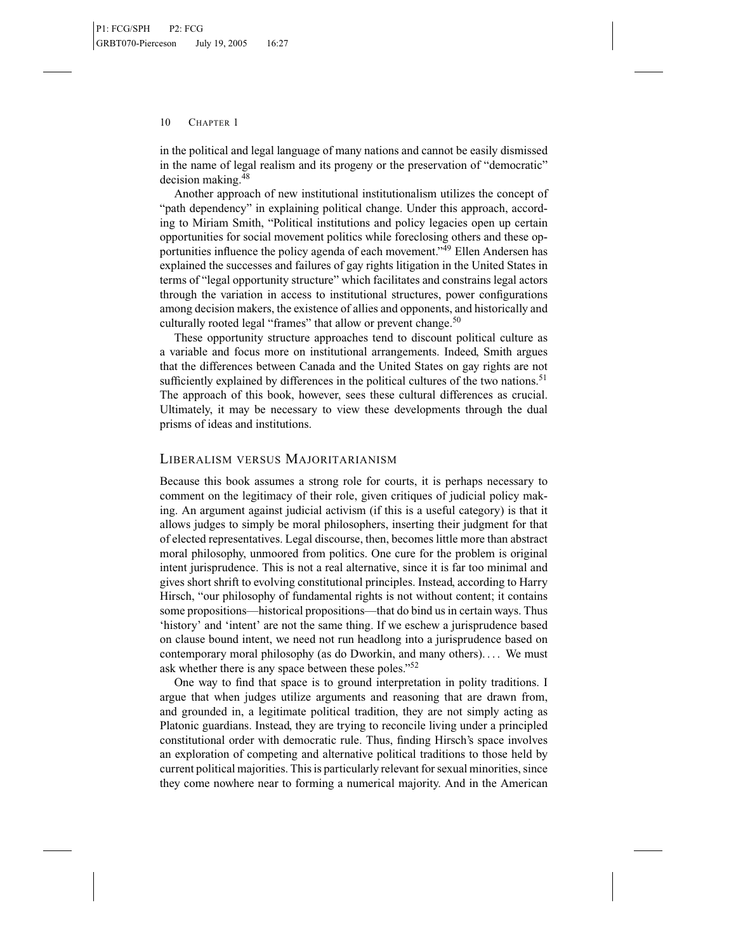in the political and legal language of many nations and cannot be easily dismissed in the name of legal realism and its progeny or the preservation of "democratic" decision making.<sup>48</sup>

Another approach of new institutional institutionalism utilizes the concept of "path dependency" in explaining political change. Under this approach, according to Miriam Smith, "Political institutions and policy legacies open up certain opportunities for social movement politics while foreclosing others and these opportunities influence the policy agenda of each movement."<sup>49</sup> Ellen Andersen has explained the successes and failures of gay rights litigation in the United States in terms of "legal opportunity structure" which facilitates and constrains legal actors through the variation in access to institutional structures, power configurations among decision makers, the existence of allies and opponents, and historically and culturally rooted legal "frames" that allow or prevent change.<sup>50</sup>

These opportunity structure approaches tend to discount political culture as a variable and focus more on institutional arrangements. Indeed, Smith argues that the differences between Canada and the United States on gay rights are not sufficiently explained by differences in the political cultures of the two nations.<sup>51</sup> The approach of this book, however, sees these cultural differences as crucial. Ultimately, it may be necessary to view these developments through the dual prisms of ideas and institutions.

#### LIBERALISM VERSUS MAJORITARIANISM

Because this book assumes a strong role for courts, it is perhaps necessary to comment on the legitimacy of their role, given critiques of judicial policy making. An argument against judicial activism (if this is a useful category) is that it allows judges to simply be moral philosophers, inserting their judgment for that of elected representatives. Legal discourse, then, becomes little more than abstract moral philosophy, unmoored from politics. One cure for the problem is original intent jurisprudence. This is not a real alternative, since it is far too minimal and gives short shrift to evolving constitutional principles. Instead, according to Harry Hirsch, "our philosophy of fundamental rights is not without content; it contains some propositions—historical propositions—that do bind us in certain ways. Thus 'history' and 'intent' are not the same thing. If we eschew a jurisprudence based on clause bound intent, we need not run headlong into a jurisprudence based on contemporary moral philosophy (as do Dworkin, and many others).... We must ask whether there is any space between these poles."<sup>52</sup>

One way to find that space is to ground interpretation in polity traditions. I argue that when judges utilize arguments and reasoning that are drawn from, and grounded in, a legitimate political tradition, they are not simply acting as Platonic guardians. Instead, they are trying to reconcile living under a principled constitutional order with democratic rule. Thus, finding Hirsch's space involves an exploration of competing and alternative political traditions to those held by current political majorities. This is particularly relevant for sexual minorities, since they come nowhere near to forming a numerical majority. And in the American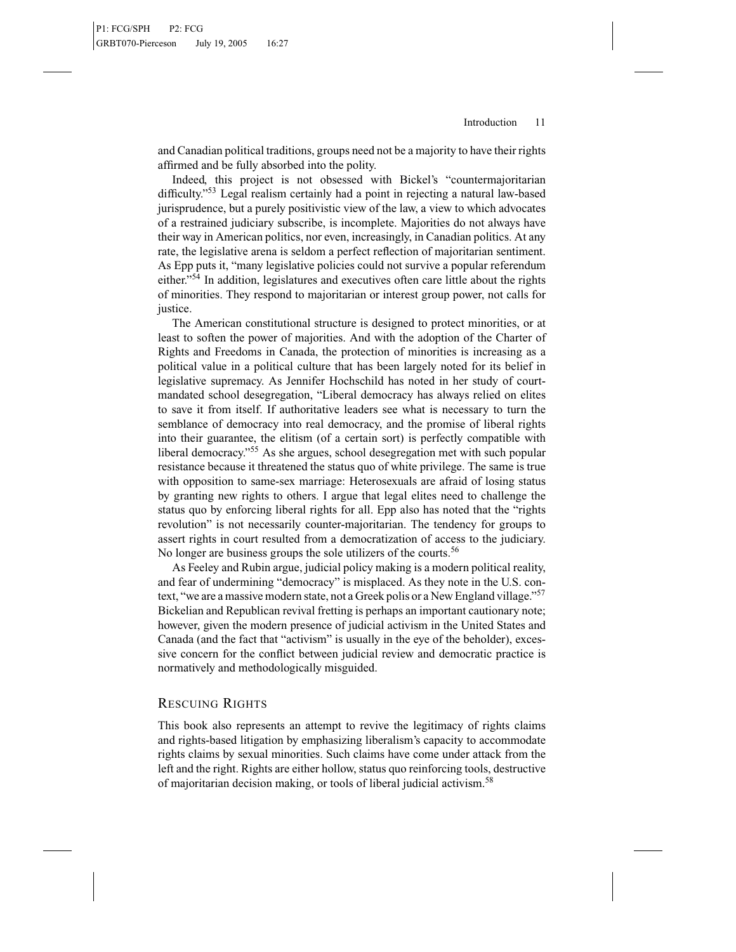and Canadian political traditions, groups need not be a majority to have their rights affirmed and be fully absorbed into the polity.

Indeed, this project is not obsessed with Bickel's "countermajoritarian difficulty."<sup>53</sup> Legal realism certainly had a point in rejecting a natural law-based jurisprudence, but a purely positivistic view of the law, a view to which advocates of a restrained judiciary subscribe, is incomplete. Majorities do not always have their way in American politics, nor even, increasingly, in Canadian politics. At any rate, the legislative arena is seldom a perfect reflection of majoritarian sentiment. As Epp puts it, "many legislative policies could not survive a popular referendum either."54 In addition, legislatures and executives often care little about the rights of minorities. They respond to majoritarian or interest group power, not calls for justice.

The American constitutional structure is designed to protect minorities, or at least to soften the power of majorities. And with the adoption of the Charter of Rights and Freedoms in Canada, the protection of minorities is increasing as a political value in a political culture that has been largely noted for its belief in legislative supremacy. As Jennifer Hochschild has noted in her study of courtmandated school desegregation, "Liberal democracy has always relied on elites to save it from itself. If authoritative leaders see what is necessary to turn the semblance of democracy into real democracy, and the promise of liberal rights into their guarantee, the elitism (of a certain sort) is perfectly compatible with liberal democracy."<sup>55</sup> As she argues, school desegregation met with such popular resistance because it threatened the status quo of white privilege. The same is true with opposition to same-sex marriage: Heterosexuals are afraid of losing status by granting new rights to others. I argue that legal elites need to challenge the status quo by enforcing liberal rights for all. Epp also has noted that the "rights revolution" is not necessarily counter-majoritarian. The tendency for groups to assert rights in court resulted from a democratization of access to the judiciary. No longer are business groups the sole utilizers of the courts.<sup>56</sup>

As Feeley and Rubin argue, judicial policy making is a modern political reality, and fear of undermining "democracy" is misplaced. As they note in the U.S. context, "we are a massive modern state, not a Greek polis or a New England village."<sup>57</sup> Bickelian and Republican revival fretting is perhaps an important cautionary note; however, given the modern presence of judicial activism in the United States and Canada (and the fact that "activism" is usually in the eye of the beholder), excessive concern for the conflict between judicial review and democratic practice is normatively and methodologically misguided.

## RESCUING RIGHTS

This book also represents an attempt to revive the legitimacy of rights claims and rights-based litigation by emphasizing liberalism's capacity to accommodate rights claims by sexual minorities. Such claims have come under attack from the left and the right. Rights are either hollow, status quo reinforcing tools, destructive of majoritarian decision making, or tools of liberal judicial activism.<sup>58</sup>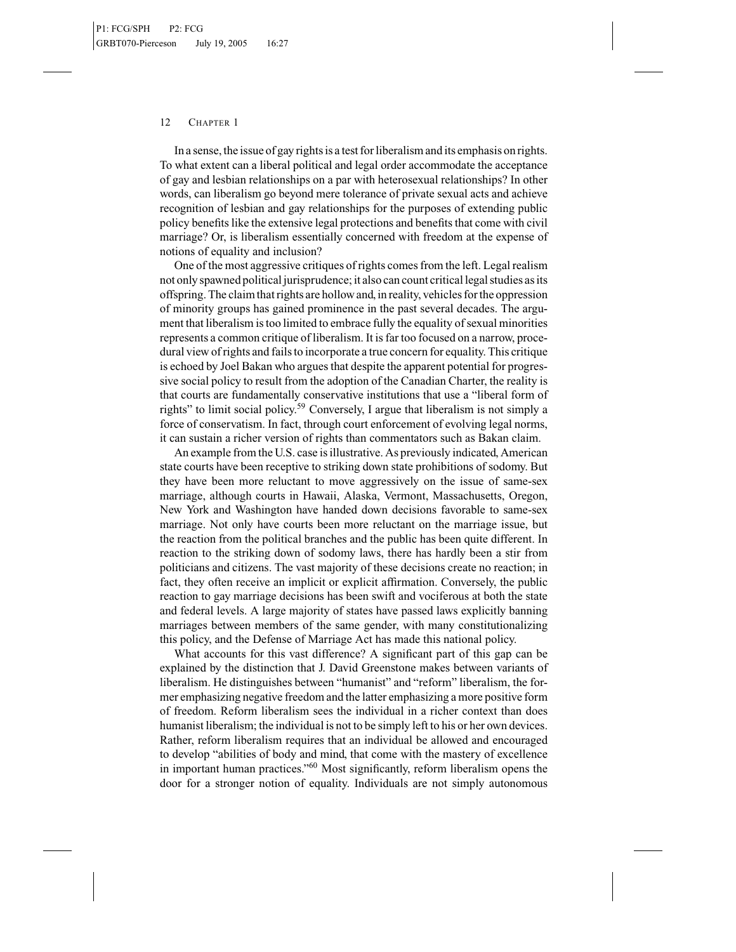In a sense, the issue of gay rights is a test for liberalism and its emphasis on rights. To what extent can a liberal political and legal order accommodate the acceptance of gay and lesbian relationships on a par with heterosexual relationships? In other words, can liberalism go beyond mere tolerance of private sexual acts and achieve recognition of lesbian and gay relationships for the purposes of extending public policy benefits like the extensive legal protections and benefits that come with civil marriage? Or, is liberalism essentially concerned with freedom at the expense of notions of equality and inclusion?

One of the most aggressive critiques of rights comes from the left. Legal realism not only spawned political jurisprudence; it also can count critical legal studies as its offspring. The claim that rights are hollow and, in reality, vehicles for the oppression of minority groups has gained prominence in the past several decades. The argument that liberalism is too limited to embrace fully the equality of sexual minorities represents a common critique of liberalism. It is far too focused on a narrow, procedural view of rights and fails to incorporate a true concern for equality. This critique is echoed by Joel Bakan who argues that despite the apparent potential for progressive social policy to result from the adoption of the Canadian Charter, the reality is that courts are fundamentally conservative institutions that use a "liberal form of rights" to limit social policy.<sup>59</sup> Conversely, I argue that liberalism is not simply a force of conservatism. In fact, through court enforcement of evolving legal norms, it can sustain a richer version of rights than commentators such as Bakan claim.

An example from the U.S. case is illustrative. As previously indicated, American state courts have been receptive to striking down state prohibitions of sodomy. But they have been more reluctant to move aggressively on the issue of same-sex marriage, although courts in Hawaii, Alaska, Vermont, Massachusetts, Oregon, New York and Washington have handed down decisions favorable to same-sex marriage. Not only have courts been more reluctant on the marriage issue, but the reaction from the political branches and the public has been quite different. In reaction to the striking down of sodomy laws, there has hardly been a stir from politicians and citizens. The vast majority of these decisions create no reaction; in fact, they often receive an implicit or explicit affirmation. Conversely, the public reaction to gay marriage decisions has been swift and vociferous at both the state and federal levels. A large majority of states have passed laws explicitly banning marriages between members of the same gender, with many constitutionalizing this policy, and the Defense of Marriage Act has made this national policy.

What accounts for this vast difference? A significant part of this gap can be explained by the distinction that J. David Greenstone makes between variants of liberalism. He distinguishes between "humanist" and "reform" liberalism, the former emphasizing negative freedom and the latter emphasizing a more positive form of freedom. Reform liberalism sees the individual in a richer context than does humanist liberalism; the individual is not to be simply left to his or her own devices. Rather, reform liberalism requires that an individual be allowed and encouraged to develop "abilities of body and mind, that come with the mastery of excellence in important human practices."<sup>60</sup> Most significantly, reform liberalism opens the door for a stronger notion of equality. Individuals are not simply autonomous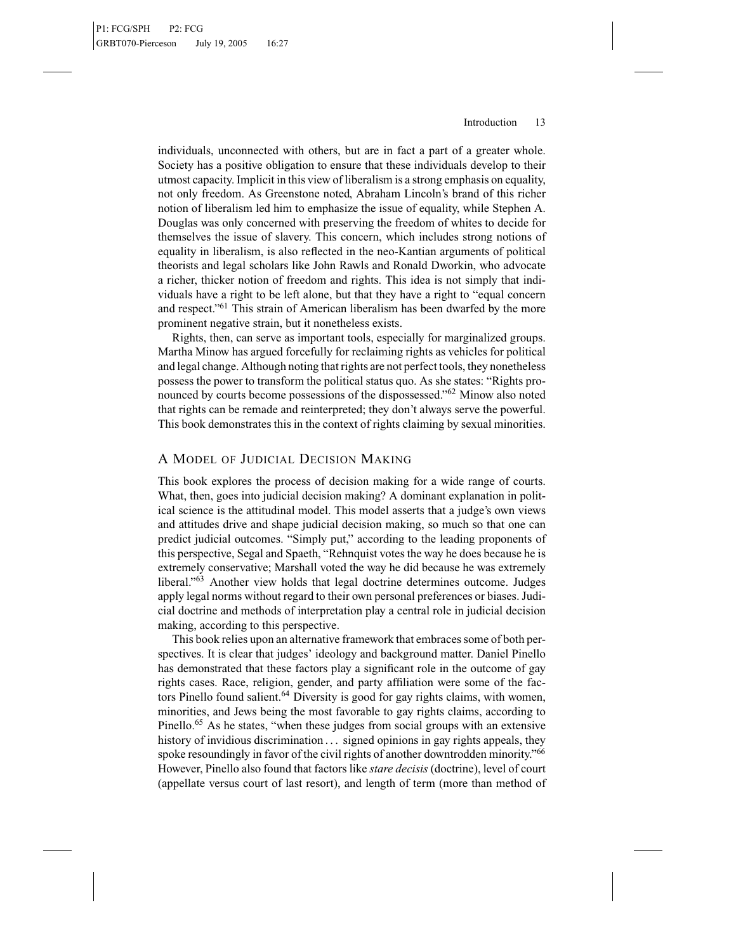individuals, unconnected with others, but are in fact a part of a greater whole. Society has a positive obligation to ensure that these individuals develop to their utmost capacity. Implicit in this view of liberalism is a strong emphasis on equality, not only freedom. As Greenstone noted, Abraham Lincoln's brand of this richer notion of liberalism led him to emphasize the issue of equality, while Stephen A. Douglas was only concerned with preserving the freedom of whites to decide for themselves the issue of slavery. This concern, which includes strong notions of equality in liberalism, is also reflected in the neo-Kantian arguments of political theorists and legal scholars like John Rawls and Ronald Dworkin, who advocate a richer, thicker notion of freedom and rights. This idea is not simply that individuals have a right to be left alone, but that they have a right to "equal concern and respect."<sup>61</sup> This strain of American liberalism has been dwarfed by the more prominent negative strain, but it nonetheless exists.

Rights, then, can serve as important tools, especially for marginalized groups. Martha Minow has argued forcefully for reclaiming rights as vehicles for political and legal change. Although noting that rights are not perfect tools, they nonetheless possess the power to transform the political status quo. As she states: "Rights pronounced by courts become possessions of the dispossessed." $62$  Minow also noted that rights can be remade and reinterpreted; they don't always serve the powerful. This book demonstrates this in the context of rights claiming by sexual minorities.

## A MODEL OF JUDICIAL DECISION MAKING

This book explores the process of decision making for a wide range of courts. What, then, goes into judicial decision making? A dominant explanation in political science is the attitudinal model. This model asserts that a judge's own views and attitudes drive and shape judicial decision making, so much so that one can predict judicial outcomes. "Simply put," according to the leading proponents of this perspective, Segal and Spaeth, "Rehnquist votes the way he does because he is extremely conservative; Marshall voted the way he did because he was extremely liberal."<sup>63</sup> Another view holds that legal doctrine determines outcome. Judges apply legal norms without regard to their own personal preferences or biases. Judicial doctrine and methods of interpretation play a central role in judicial decision making, according to this perspective.

This book relies upon an alternative framework that embraces some of both perspectives. It is clear that judges' ideology and background matter. Daniel Pinello has demonstrated that these factors play a significant role in the outcome of gay rights cases. Race, religion, gender, and party affiliation were some of the factors Pinello found salient.<sup>64</sup> Diversity is good for gay rights claims, with women, minorities, and Jews being the most favorable to gay rights claims, according to Pinello.<sup>65</sup> As he states, "when these judges from social groups with an extensive history of invidious discrimination . . . signed opinions in gay rights appeals, they spoke resoundingly in favor of the civil rights of another downtrodden minority.<sup>766</sup> However, Pinello also found that factors like *stare decisis* (doctrine), level of court (appellate versus court of last resort), and length of term (more than method of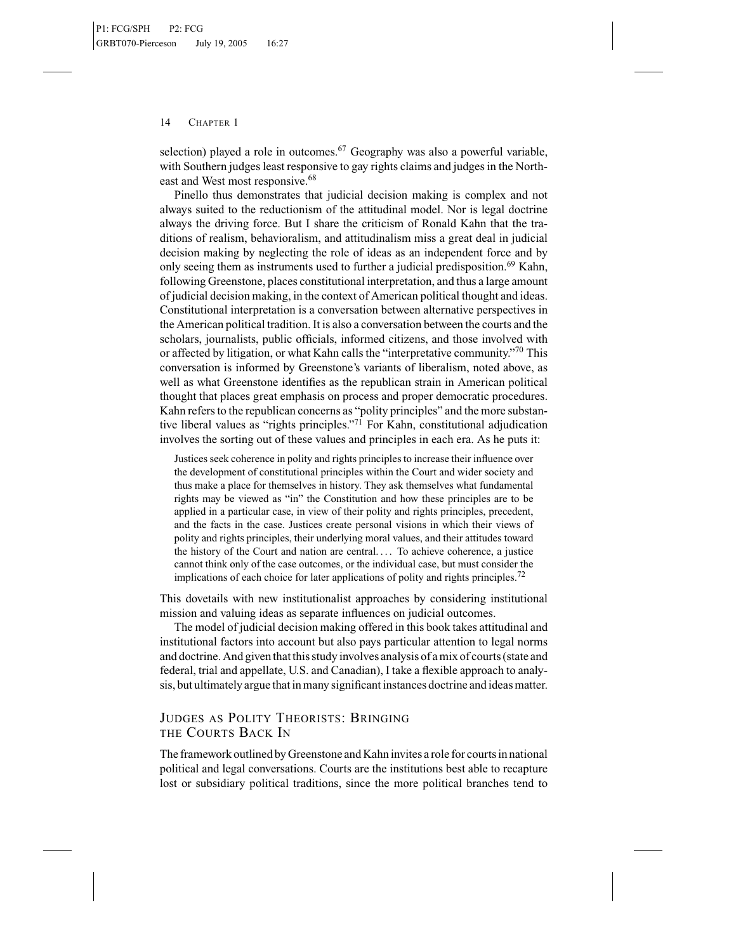selection) played a role in outcomes.<sup>67</sup> Geography was also a powerful variable, with Southern judges least responsive to gay rights claims and judges in the Northeast and West most responsive.<sup>68</sup>

Pinello thus demonstrates that judicial decision making is complex and not always suited to the reductionism of the attitudinal model. Nor is legal doctrine always the driving force. But I share the criticism of Ronald Kahn that the traditions of realism, behavioralism, and attitudinalism miss a great deal in judicial decision making by neglecting the role of ideas as an independent force and by only seeing them as instruments used to further a judicial predisposition.<sup>69</sup> Kahn, following Greenstone, places constitutional interpretation, and thus a large amount of judicial decision making, in the context of American political thought and ideas. Constitutional interpretation is a conversation between alternative perspectives in the American political tradition. It is also a conversation between the courts and the scholars, journalists, public officials, informed citizens, and those involved with or affected by litigation, or what Kahn calls the "interpretative community."70 This conversation is informed by Greenstone's variants of liberalism, noted above, as well as what Greenstone identifies as the republican strain in American political thought that places great emphasis on process and proper democratic procedures. Kahn refers to the republican concerns as "polity principles" and the more substantive liberal values as "rights principles."71 For Kahn, constitutional adjudication involves the sorting out of these values and principles in each era. As he puts it:

Justices seek coherence in polity and rights principles to increase their influence over the development of constitutional principles within the Court and wider society and thus make a place for themselves in history. They ask themselves what fundamental rights may be viewed as "in" the Constitution and how these principles are to be applied in a particular case, in view of their polity and rights principles, precedent, and the facts in the case. Justices create personal visions in which their views of polity and rights principles, their underlying moral values, and their attitudes toward the history of the Court and nation are central.... To achieve coherence, a justice cannot think only of the case outcomes, or the individual case, but must consider the implications of each choice for later applications of polity and rights principles.<sup>72</sup>

This dovetails with new institutionalist approaches by considering institutional mission and valuing ideas as separate influences on judicial outcomes.

The model of judicial decision making offered in this book takes attitudinal and institutional factors into account but also pays particular attention to legal norms and doctrine. And given that this study involves analysis of a mix of courts (state and federal, trial and appellate, U.S. and Canadian), I take a flexible approach to analysis, but ultimately argue that in many significant instances doctrine and ideas matter.

## JUDGES AS POLITY THEORISTS: BRINGING THE COURTS BACK IN

The framework outlined by Greenstone and Kahn invites a role for courts in national political and legal conversations. Courts are the institutions best able to recapture lost or subsidiary political traditions, since the more political branches tend to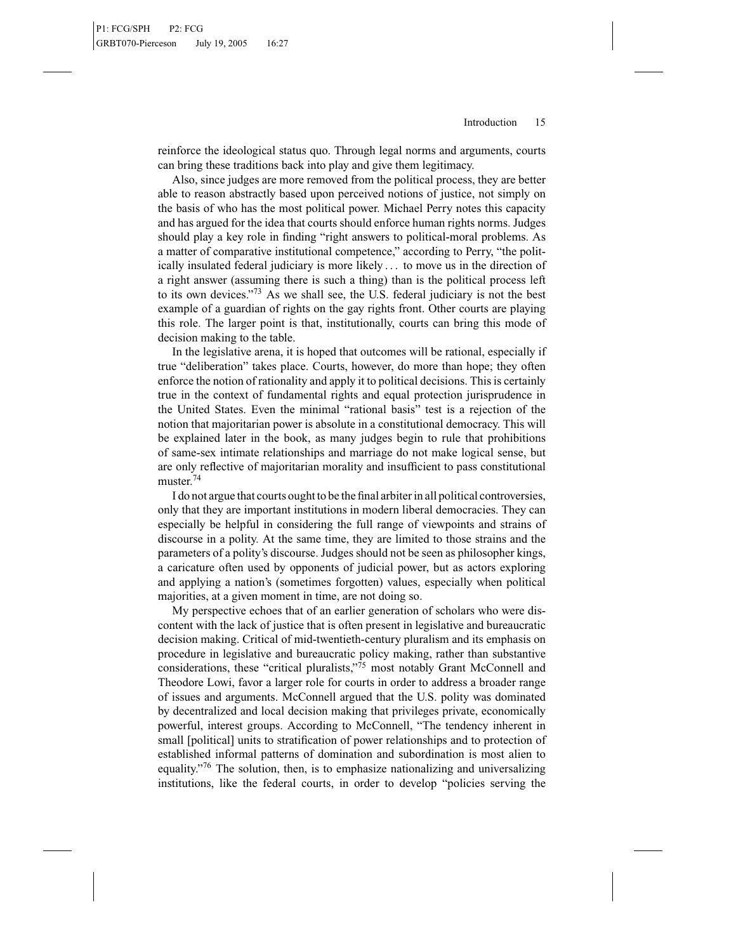reinforce the ideological status quo. Through legal norms and arguments, courts can bring these traditions back into play and give them legitimacy.

Also, since judges are more removed from the political process, they are better able to reason abstractly based upon perceived notions of justice, not simply on the basis of who has the most political power. Michael Perry notes this capacity and has argued for the idea that courts should enforce human rights norms. Judges should play a key role in finding "right answers to political-moral problems. As a matter of comparative institutional competence," according to Perry, "the politically insulated federal judiciary is more likely . . . to move us in the direction of a right answer (assuming there is such a thing) than is the political process left to its own devices."<sup>73</sup> As we shall see, the U.S. federal judiciary is not the best example of a guardian of rights on the gay rights front. Other courts are playing this role. The larger point is that, institutionally, courts can bring this mode of decision making to the table.

In the legislative arena, it is hoped that outcomes will be rational, especially if true "deliberation" takes place. Courts, however, do more than hope; they often enforce the notion of rationality and apply it to political decisions. This is certainly true in the context of fundamental rights and equal protection jurisprudence in the United States. Even the minimal "rational basis" test is a rejection of the notion that majoritarian power is absolute in a constitutional democracy. This will be explained later in the book, as many judges begin to rule that prohibitions of same-sex intimate relationships and marriage do not make logical sense, but are only reflective of majoritarian morality and insufficient to pass constitutional muster.<sup>74</sup>

I do not argue that courts ought to be the final arbiter in all political controversies, only that they are important institutions in modern liberal democracies. They can especially be helpful in considering the full range of viewpoints and strains of discourse in a polity. At the same time, they are limited to those strains and the parameters of a polity's discourse. Judges should not be seen as philosopher kings, a caricature often used by opponents of judicial power, but as actors exploring and applying a nation's (sometimes forgotten) values, especially when political majorities, at a given moment in time, are not doing so.

My perspective echoes that of an earlier generation of scholars who were discontent with the lack of justice that is often present in legislative and bureaucratic decision making. Critical of mid-twentieth-century pluralism and its emphasis on procedure in legislative and bureaucratic policy making, rather than substantive considerations, these "critical pluralists,"<sup>75</sup> most notably Grant McConnell and Theodore Lowi, favor a larger role for courts in order to address a broader range of issues and arguments. McConnell argued that the U.S. polity was dominated by decentralized and local decision making that privileges private, economically powerful, interest groups. According to McConnell, "The tendency inherent in small [political] units to stratification of power relationships and to protection of established informal patterns of domination and subordination is most alien to equality.<sup> $7\sigma$ </sup> The solution, then, is to emphasize nationalizing and universalizing institutions, like the federal courts, in order to develop "policies serving the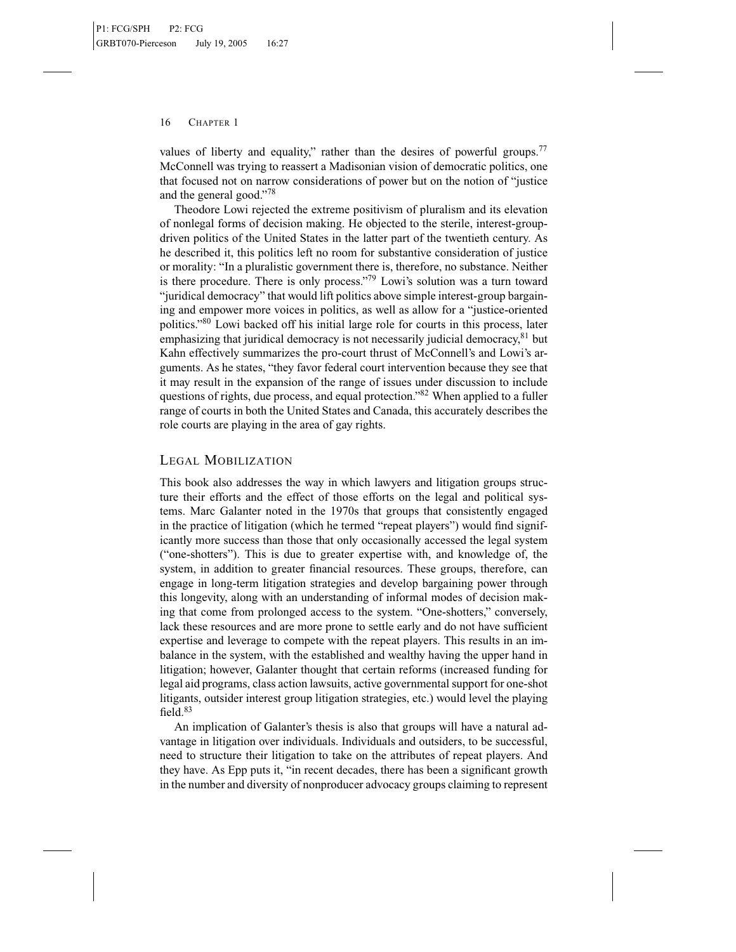values of liberty and equality," rather than the desires of powerful groups.<sup>77</sup> McConnell was trying to reassert a Madisonian vision of democratic politics, one that focused not on narrow considerations of power but on the notion of "justice and the general good."<sup>78</sup>

Theodore Lowi rejected the extreme positivism of pluralism and its elevation of nonlegal forms of decision making. He objected to the sterile, interest-groupdriven politics of the United States in the latter part of the twentieth century. As he described it, this politics left no room for substantive consideration of justice or morality: "In a pluralistic government there is, therefore, no substance. Neither is there procedure. There is only process."<sup>79</sup> Lowi's solution was a turn toward "juridical democracy" that would lift politics above simple interest-group bargaining and empower more voices in politics, as well as allow for a "justice-oriented politics."80 Lowi backed off his initial large role for courts in this process, later emphasizing that juridical democracy is not necessarily judicial democracy,<sup>81</sup> but Kahn effectively summarizes the pro-court thrust of McConnell's and Lowi's arguments. As he states, "they favor federal court intervention because they see that it may result in the expansion of the range of issues under discussion to include questions of rights, due process, and equal protection."<sup>82</sup> When applied to a fuller range of courts in both the United States and Canada, this accurately describes the role courts are playing in the area of gay rights.

## LEGAL MOBILIZATION

This book also addresses the way in which lawyers and litigation groups structure their efforts and the effect of those efforts on the legal and political systems. Marc Galanter noted in the 1970s that groups that consistently engaged in the practice of litigation (which he termed "repeat players") would find significantly more success than those that only occasionally accessed the legal system ("one-shotters"). This is due to greater expertise with, and knowledge of, the system, in addition to greater financial resources. These groups, therefore, can engage in long-term litigation strategies and develop bargaining power through this longevity, along with an understanding of informal modes of decision making that come from prolonged access to the system. "One-shotters," conversely, lack these resources and are more prone to settle early and do not have sufficient expertise and leverage to compete with the repeat players. This results in an imbalance in the system, with the established and wealthy having the upper hand in litigation; however, Galanter thought that certain reforms (increased funding for legal aid programs, class action lawsuits, active governmental support for one-shot litigants, outsider interest group litigation strategies, etc.) would level the playing field.<sup>83</sup>

An implication of Galanter's thesis is also that groups will have a natural advantage in litigation over individuals. Individuals and outsiders, to be successful, need to structure their litigation to take on the attributes of repeat players. And they have. As Epp puts it, "in recent decades, there has been a significant growth in the number and diversity of nonproducer advocacy groups claiming to represent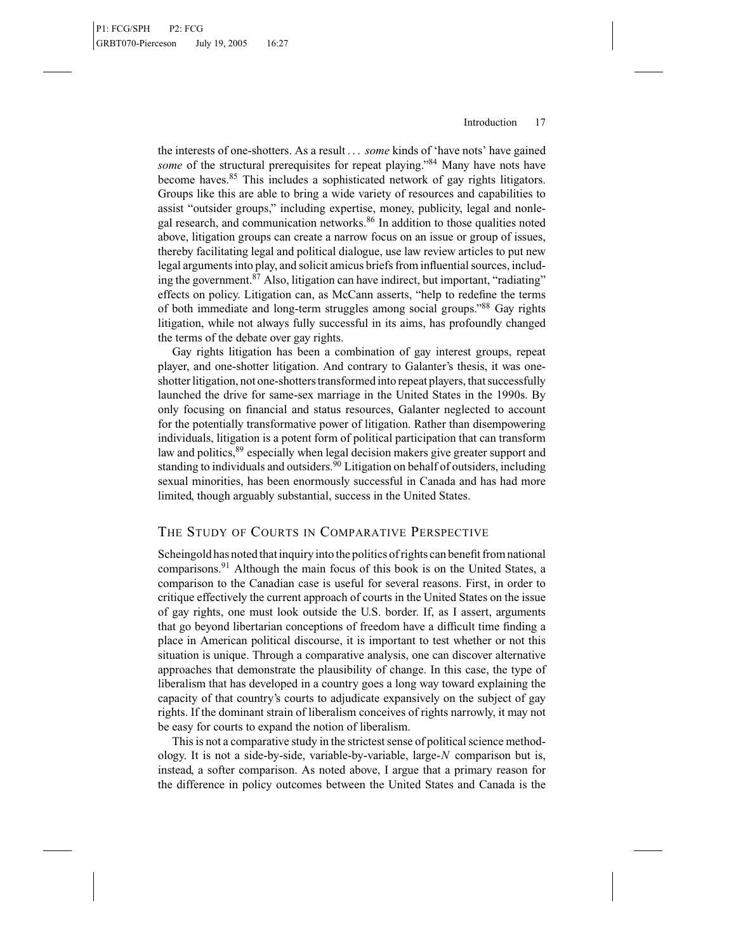the interests of one-shotters. As a result . . . *some* kinds of 'have nots' have gained *some* of the structural prerequisites for repeat playing."<sup>84</sup> Many have nots have become haves.<sup>85</sup> This includes a sophisticated network of gay rights litigators. Groups like this are able to bring a wide variety of resources and capabilities to assist "outsider groups," including expertise, money, publicity, legal and nonlegal research, and communication networks.86 In addition to those qualities noted above, litigation groups can create a narrow focus on an issue or group of issues, thereby facilitating legal and political dialogue, use law review articles to put new legal arguments into play, and solicit amicus briefs from influential sources, including the government. $87$  Also, litigation can have indirect, but important, "radiating" effects on policy. Litigation can, as McCann asserts, "help to redefine the terms of both immediate and long-term struggles among social groups."<sup>88</sup> Gay rights litigation, while not always fully successful in its aims, has profoundly changed the terms of the debate over gay rights.

Gay rights litigation has been a combination of gay interest groups, repeat player, and one-shotter litigation. And contrary to Galanter's thesis, it was oneshotter litigation, not one-shotters transformed into repeat players, that successfully launched the drive for same-sex marriage in the United States in the 1990s. By only focusing on financial and status resources, Galanter neglected to account for the potentially transformative power of litigation. Rather than disempowering individuals, litigation is a potent form of political participation that can transform law and politics, <sup>89</sup> especially when legal decision makers give greater support and standing to individuals and outsiders.<sup>90</sup> Litigation on behalf of outsiders, including sexual minorities, has been enormously successful in Canada and has had more limited, though arguably substantial, success in the United States.

## THE STUDY OF COURTS IN COMPARATIVE PERSPECTIVE

Scheingold has noted that inquiry into the politics of rights can benefit from national comparisons.<sup>91</sup> Although the main focus of this book is on the United States, a comparison to the Canadian case is useful for several reasons. First, in order to critique effectively the current approach of courts in the United States on the issue of gay rights, one must look outside the U.S. border. If, as I assert, arguments that go beyond libertarian conceptions of freedom have a difficult time finding a place in American political discourse, it is important to test whether or not this situation is unique. Through a comparative analysis, one can discover alternative approaches that demonstrate the plausibility of change. In this case, the type of liberalism that has developed in a country goes a long way toward explaining the capacity of that country's courts to adjudicate expansively on the subject of gay rights. If the dominant strain of liberalism conceives of rights narrowly, it may not be easy for courts to expand the notion of liberalism.

This is not a comparative study in the strictest sense of political science methodology. It is not a side-by-side, variable-by-variable, large-*N* comparison but is, instead, a softer comparison. As noted above, I argue that a primary reason for the difference in policy outcomes between the United States and Canada is the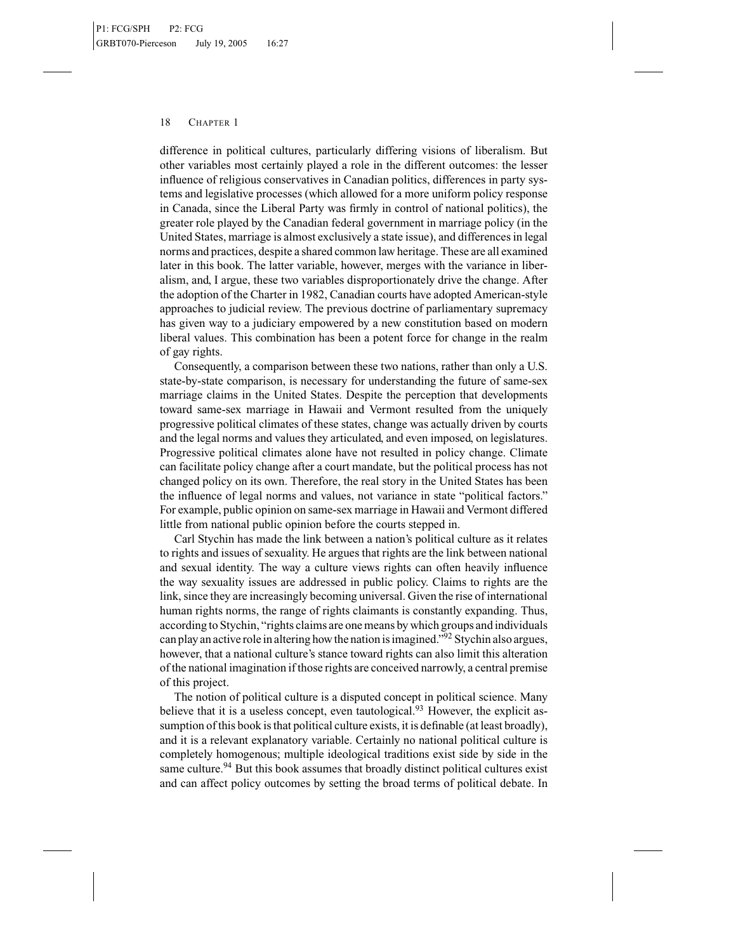difference in political cultures, particularly differing visions of liberalism. But other variables most certainly played a role in the different outcomes: the lesser influence of religious conservatives in Canadian politics, differences in party systems and legislative processes (which allowed for a more uniform policy response in Canada, since the Liberal Party was firmly in control of national politics), the greater role played by the Canadian federal government in marriage policy (in the United States, marriage is almost exclusively a state issue), and differences in legal norms and practices, despite a shared common law heritage. These are all examined later in this book. The latter variable, however, merges with the variance in liberalism, and, I argue, these two variables disproportionately drive the change. After the adoption of the Charter in 1982, Canadian courts have adopted American-style approaches to judicial review. The previous doctrine of parliamentary supremacy has given way to a judiciary empowered by a new constitution based on modern liberal values. This combination has been a potent force for change in the realm of gay rights.

Consequently, a comparison between these two nations, rather than only a U.S. state-by-state comparison, is necessary for understanding the future of same-sex marriage claims in the United States. Despite the perception that developments toward same-sex marriage in Hawaii and Vermont resulted from the uniquely progressive political climates of these states, change was actually driven by courts and the legal norms and values they articulated, and even imposed, on legislatures. Progressive political climates alone have not resulted in policy change. Climate can facilitate policy change after a court mandate, but the political process has not changed policy on its own. Therefore, the real story in the United States has been the influence of legal norms and values, not variance in state "political factors." For example, public opinion on same-sex marriage in Hawaii and Vermont differed little from national public opinion before the courts stepped in.

Carl Stychin has made the link between a nation's political culture as it relates to rights and issues of sexuality. He argues that rights are the link between national and sexual identity. The way a culture views rights can often heavily influence the way sexuality issues are addressed in public policy. Claims to rights are the link, since they are increasingly becoming universal. Given the rise of international human rights norms, the range of rights claimants is constantly expanding. Thus, according to Stychin, "rights claims are one means by which groups and individuals can play an active role in altering how the nation is imagined."<sup>92</sup> Stychin also argues, however, that a national culture's stance toward rights can also limit this alteration of the national imagination if those rights are conceived narrowly, a central premise of this project.

The notion of political culture is a disputed concept in political science. Many believe that it is a useless concept, even tautological.<sup>93</sup> However, the explicit assumption of this book is that political culture exists, it is definable (at least broadly), and it is a relevant explanatory variable. Certainly no national political culture is completely homogenous; multiple ideological traditions exist side by side in the same culture.<sup>94</sup> But this book assumes that broadly distinct political cultures exist and can affect policy outcomes by setting the broad terms of political debate. In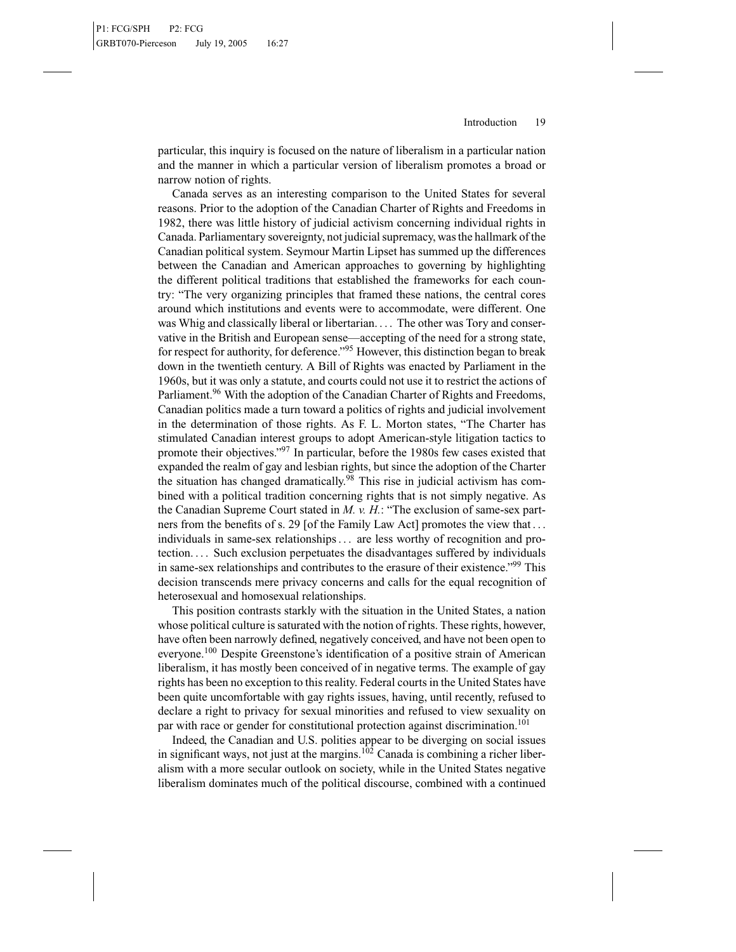particular, this inquiry is focused on the nature of liberalism in a particular nation and the manner in which a particular version of liberalism promotes a broad or narrow notion of rights.

Canada serves as an interesting comparison to the United States for several reasons. Prior to the adoption of the Canadian Charter of Rights and Freedoms in 1982, there was little history of judicial activism concerning individual rights in Canada. Parliamentary sovereignty, not judicial supremacy, was the hallmark of the Canadian political system. Seymour Martin Lipset has summed up the differences between the Canadian and American approaches to governing by highlighting the different political traditions that established the frameworks for each country: "The very organizing principles that framed these nations, the central cores around which institutions and events were to accommodate, were different. One was Whig and classically liberal or libertarian. . . . The other was Tory and conservative in the British and European sense—accepting of the need for a strong state, for respect for authority, for deference."<sup>95</sup> However, this distinction began to break down in the twentieth century. A Bill of Rights was enacted by Parliament in the 1960s, but it was only a statute, and courts could not use it to restrict the actions of Parliament.<sup>96</sup> With the adoption of the Canadian Charter of Rights and Freedoms, Canadian politics made a turn toward a politics of rights and judicial involvement in the determination of those rights. As F. L. Morton states, "The Charter has stimulated Canadian interest groups to adopt American-style litigation tactics to promote their objectives."<sup>97</sup> In particular, before the 1980s few cases existed that expanded the realm of gay and lesbian rights, but since the adoption of the Charter the situation has changed dramatically.<sup>98</sup> This rise in judicial activism has combined with a political tradition concerning rights that is not simply negative. As the Canadian Supreme Court stated in *M. v. H.*: "The exclusion of same-sex partners from the benefits of s. 29 [of the Family Law Act] promotes the view that ... individuals in same-sex relationships . . . are less worthy of recognition and protection. . . . Such exclusion perpetuates the disadvantages suffered by individuals in same-sex relationships and contributes to the erasure of their existence."99 This decision transcends mere privacy concerns and calls for the equal recognition of heterosexual and homosexual relationships.

This position contrasts starkly with the situation in the United States, a nation whose political culture is saturated with the notion of rights. These rights, however, have often been narrowly defined, negatively conceived, and have not been open to everyone.<sup>100</sup> Despite Greenstone's identification of a positive strain of American liberalism, it has mostly been conceived of in negative terms. The example of gay rights has been no exception to this reality. Federal courts in the United States have been quite uncomfortable with gay rights issues, having, until recently, refused to declare a right to privacy for sexual minorities and refused to view sexuality on par with race or gender for constitutional protection against discrimination.<sup>101</sup>

Indeed, the Canadian and U.S. polities appear to be diverging on social issues in significant ways, not just at the margins. $102$  Canada is combining a richer liberalism with a more secular outlook on society, while in the United States negative liberalism dominates much of the political discourse, combined with a continued